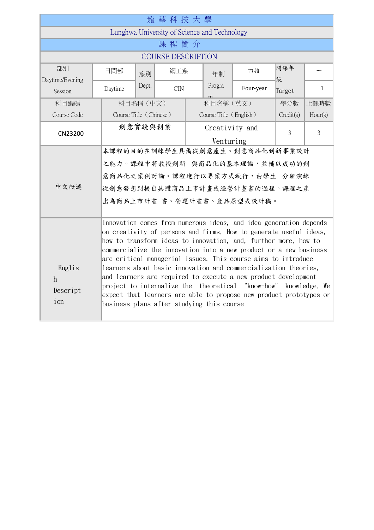| 龍華科技大學                                       |                                                                                                                                                                                                                                                                                                                                                                                                                                                                                                                                                                                                                                                                            |       |     |                        |           |           |           |                |
|----------------------------------------------|----------------------------------------------------------------------------------------------------------------------------------------------------------------------------------------------------------------------------------------------------------------------------------------------------------------------------------------------------------------------------------------------------------------------------------------------------------------------------------------------------------------------------------------------------------------------------------------------------------------------------------------------------------------------------|-------|-----|------------------------|-----------|-----------|-----------|----------------|
| Lunghwa University of Science and Technology |                                                                                                                                                                                                                                                                                                                                                                                                                                                                                                                                                                                                                                                                            |       |     |                        |           |           |           |                |
| 課程簡介                                         |                                                                                                                                                                                                                                                                                                                                                                                                                                                                                                                                                                                                                                                                            |       |     |                        |           |           |           |                |
| <b>COURSE DESCRIPTION</b>                    |                                                                                                                                                                                                                                                                                                                                                                                                                                                                                                                                                                                                                                                                            |       |     |                        |           |           |           |                |
| 部別<br>Daytime/Evening                        | 日間部                                                                                                                                                                                                                                                                                                                                                                                                                                                                                                                                                                                                                                                                        | 系別    | 網工系 |                        | 年制        | 四技        | 開課年<br>級  |                |
| Session                                      | Daytime                                                                                                                                                                                                                                                                                                                                                                                                                                                                                                                                                                                                                                                                    | Dept. | CIN |                        | Progra    | Four-year | Target    | $\mathbf{1}$   |
| 科目編碼                                         | 科目名稱 (中文)                                                                                                                                                                                                                                                                                                                                                                                                                                                                                                                                                                                                                                                                  |       |     |                        | 科目名稱 (英文) |           | 學分數       | 上課時數           |
| Course Code                                  | Course Title (Chinese)                                                                                                                                                                                                                                                                                                                                                                                                                                                                                                                                                                                                                                                     |       |     | Course Title (English) |           |           | Credit(s) | Hour(s)        |
| CN23200                                      | 創意實踐與創業                                                                                                                                                                                                                                                                                                                                                                                                                                                                                                                                                                                                                                                                    |       |     | Creativity and         |           |           | 3         | $\overline{3}$ |
|                                              | Venturing                                                                                                                                                                                                                                                                                                                                                                                                                                                                                                                                                                                                                                                                  |       |     |                        |           |           |           |                |
|                                              | 本課程的目的在訓練學生具備從創意產生、創意商品化到新事業設計                                                                                                                                                                                                                                                                                                                                                                                                                                                                                                                                                                                                                                             |       |     |                        |           |           |           |                |
|                                              | 之能力。課程中將教授創新 與商品化的基本理論,並輔以成功的創                                                                                                                                                                                                                                                                                                                                                                                                                                                                                                                                                                                                                                             |       |     |                        |           |           |           |                |
| 中文概述                                         | 意商品化之案例討論。課程進行以專案方式執行,由學生 分組演練                                                                                                                                                                                                                                                                                                                                                                                                                                                                                                                                                                                                                                             |       |     |                        |           |           |           |                |
|                                              | 從創意發想到提出具體商品上市計畫或經營計畫書的過程。課程之產                                                                                                                                                                                                                                                                                                                                                                                                                                                                                                                                                                                                                                             |       |     |                        |           |           |           |                |
|                                              | 出為商品上市計畫 書、營運計畫書、產品原型或設計稿。                                                                                                                                                                                                                                                                                                                                                                                                                                                                                                                                                                                                                                                 |       |     |                        |           |           |           |                |
| Englis<br>$\hbar$<br>Descript<br>ion         | Innovation comes from numerous ideas, and idea generation depends<br>on creativity of persons and firms. How to generate useful ideas,<br>how to transform ideas to innovation, and, further more, how to<br>commercialize the innovation into a new product or a new business<br>are critical managerial issues. This course aims to introduce<br>learners about basic innovation and commercialization theories,<br>and learners are required to execute a new product development<br>project to internalize the theoretical "know-how" knowledge. We<br>expect that learners are able to propose new product prototypes or<br>business plans after studying this course |       |     |                        |           |           |           |                |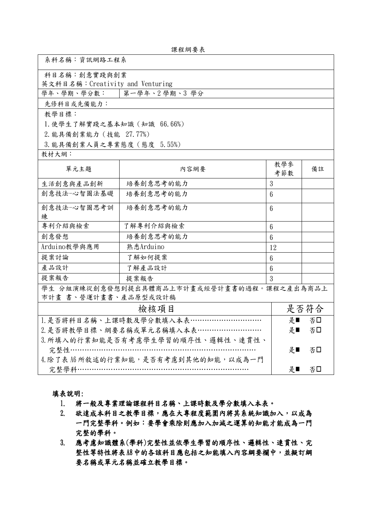| 課程綱要表 |  |
|-------|--|
|-------|--|

| 系科名稱:資訊網路工程系                               |           |                 |          |  |  |  |
|--------------------------------------------|-----------|-----------------|----------|--|--|--|
| 科目名稱:創意實踐與創業                               |           |                 |          |  |  |  |
| 英文科目名稱:Creativity and Venturing            |           |                 |          |  |  |  |
| 學年、學期、學分數:   第一學年、2學期、3學分                  |           |                 |          |  |  |  |
| 先修科目或先備能力:                                 |           |                 |          |  |  |  |
| 教學目標:                                      |           |                 |          |  |  |  |
| 1. 使學生了解實踐之基本知識 (知識 66.66%)                |           |                 |          |  |  |  |
| 2. 能具備創業能力 (技能 27.77%)                     |           |                 |          |  |  |  |
| 3. 能具備創業人員之專業態度 (態度 5.55%)                 |           |                 |          |  |  |  |
| 教材大網:                                      |           |                 |          |  |  |  |
| 單元主題                                       | 內容網要      | 教學參<br>考節數      | 備註       |  |  |  |
| 生活創意與產品創新                                  | 培養創意思考的能力 | 3               |          |  |  |  |
| 創意技法-心智圖法基礎                                | 培養創意思考的能力 | $6\phantom{1}$  |          |  |  |  |
| 創意技法一心智圖思考訓                                | 培養創意思考的能力 | 6               |          |  |  |  |
| 練                                          |           |                 |          |  |  |  |
| 專利介紹與檢索                                    | 了解專利介紹與檢索 | $6\phantom{.}6$ |          |  |  |  |
| 創意發想                                       | 培養創意思考的能力 | $6\phantom{1}$  |          |  |  |  |
| Arduino教學與應用                               | 熟悉Arduino | 12              |          |  |  |  |
| 提案討論                                       | 了解如何提案    | $6\phantom{1}$  |          |  |  |  |
| 產品設計                                       | 了解產品設計    | $6\phantom{1}6$ |          |  |  |  |
| 提案報告<br>提案報告                               |           | 3               |          |  |  |  |
| 學生 分組演練從創意發想到提出具體商品上市計畫或經營計畫書的過程。課程之產出為商品上 |           |                 |          |  |  |  |
| 市計畫 書、營運計畫書、產品原型或設計稿                       |           |                 |          |  |  |  |
| 檢核項目                                       |           |                 | 是否符合     |  |  |  |
| 1. 是否將科目名稱、上課時數及學分數填入本表…………………………          |           |                 | 是■<br>否口 |  |  |  |
| 2. 是否將教學目標、綱要名稱或單元名稱填入本表………………………          |           |                 | 是■<br>否口 |  |  |  |
| 3. 所填入的行業知能是否有考慮學生學習的順序性、邏輯性、連貫性、          |           |                 |          |  |  |  |
| 完整性……                                      | 是■        | 否口              |          |  |  |  |
| 4. 除了表 A6 所敘述的行業知能,是否有考慮到其他的知能,以成為一門       |           |                 |          |  |  |  |
| 完整學科……………………………………………………………                | 是■        | 否口              |          |  |  |  |

## 填表說明:

г

- 1. 將一般及專業理論課程科目名稱、上課時數及學分數填入本表。
- 2. 欲達成本科目之教學目標,應在大專程度範圍內將其系統知識加入,以成為 一門完整學科。例如:要學會乘除則應加入加減之運算的知能才能成為一門 完整的學科。
- 3. 應考慮知識體系(學科)完整性並依學生學習的順序性、邏輯性、連貫性、完 整性等特性將表A8中的各該科目應包括之知能填入內容綱要欄中,並擬訂綱 要名稱或單元名稱並確立教學目標。